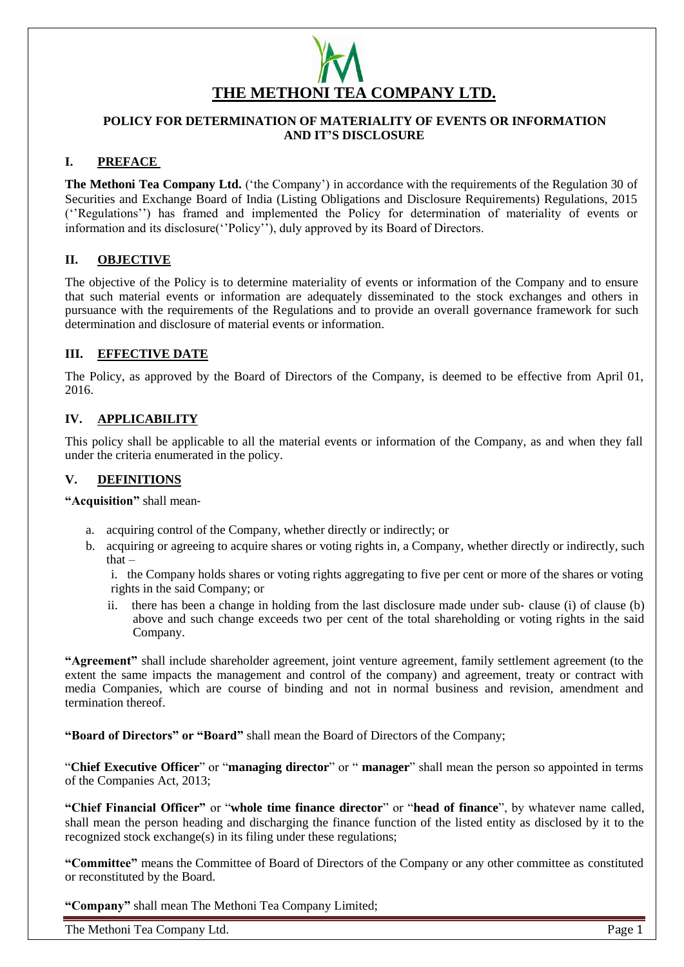

### **POLICY FOR DETERMINATION OF MATERIALITY OF EVENTS OR INFORMATION AND IT'S DISCLOSURE**

### **I. PREFACE**

**The Methoni Tea Company Ltd.** ('the Company') in accordance with the requirements of the Regulation 30 of Securities and Exchange Board of India (Listing Obligations and Disclosure Requirements) Regulations, 2015 (''Regulations'') has framed and implemented the Policy for determination of materiality of events or information and its disclosure(''Policy''), duly approved by its Board of Directors.

### **II. OBJECTIVE**

The objective of the Policy is to determine materiality of events or information of the Company and to ensure that such material events or information are adequately disseminated to the stock exchanges and others in pursuance with the requirements of the Regulations and to provide an overall governance framework for such determination and disclosure of material events or information.

### **III. EFFECTIVE DATE**

The Policy, as approved by the Board of Directors of the Company, is deemed to be effective from April 01, 2016.

### **IV. APPLICABILITY**

This policy shall be applicable to all the material events or information of the Company, as and when they fall under the criteria enumerated in the policy.

### **V. DEFINITIONS**

**"Acquisition"** shall mean‐

- a. acquiring control of the Company, whether directly or indirectly; or
- b. acquiring or agreeing to acquire shares or voting rights in, a Company, whether directly or indirectly, such that –

i. the Company holds shares or voting rights aggregating to five per cent or more of the shares or voting rights in the said Company; or

ii. there has been a change in holding from the last disclosure made under sub‐ clause (i) of clause (b) above and such change exceeds two per cent of the total shareholding or voting rights in the said Company.

**"Agreement"** shall include shareholder agreement, joint venture agreement, family settlement agreement (to the extent the same impacts the management and control of the company) and agreement, treaty or contract with media Companies, which are course of binding and not in normal business and revision, amendment and termination thereof.

**"Board of Directors" or "Board"** shall mean the Board of Directors of the Company;

"**Chief Executive Officer**" or "**managing director**" or " **manager**" shall mean the person so appointed in terms of the Companies Act, 2013;

**"Chief Financial Officer"** or "**whole time finance director**" or "**head of finance**", by whatever name called, shall mean the person heading and discharging the finance function of the listed entity as disclosed by it to the recognized stock exchange(s) in its filing under these regulations;

**"Committee"** means the Committee of Board of Directors of the Company or any other committee as constituted or reconstituted by the Board.

**"Company"** shall mean The Methoni Tea Company Limited;

The Methoni Tea Company Ltd. **Page 1**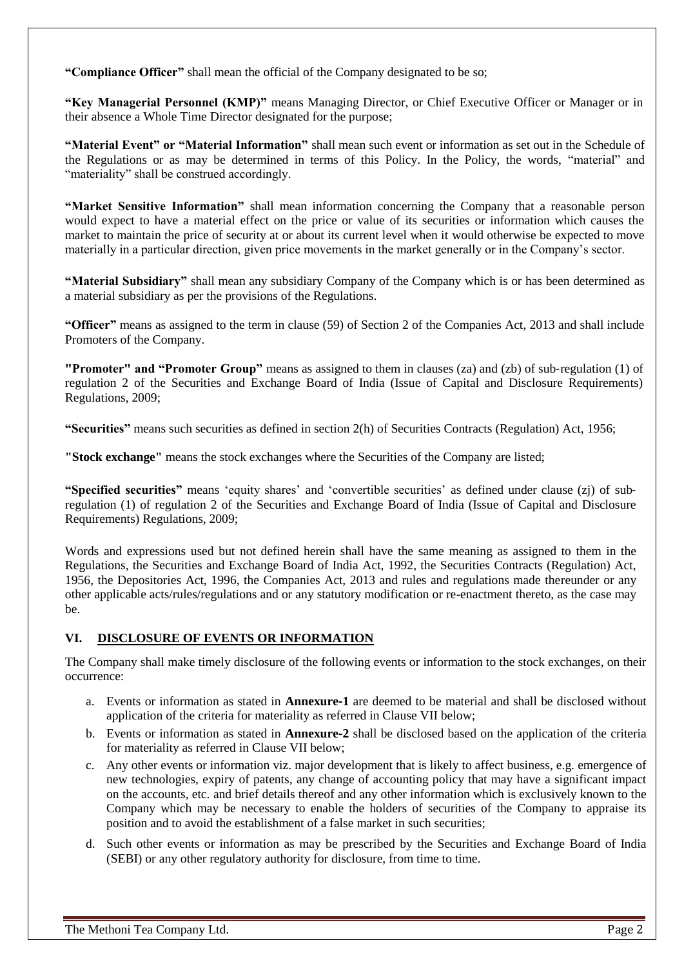**"Compliance Officer"** shall mean the official of the Company designated to be so;

**"Key Managerial Personnel (KMP)"** means Managing Director, or Chief Executive Officer or Manager or in their absence a Whole Time Director designated for the purpose;

**"Material Event" or "Material Information"** shall mean such event or information as set out in the Schedule of the Regulations or as may be determined in terms of this Policy. In the Policy, the words, "material" and "materiality" shall be construed accordingly.

**"Market Sensitive Information"** shall mean information concerning the Company that a reasonable person would expect to have a material effect on the price or value of its securities or information which causes the market to maintain the price of security at or about its current level when it would otherwise be expected to move materially in a particular direction, given price movements in the market generally or in the Company's sector.

**"Material Subsidiary"** shall mean any subsidiary Company of the Company which is or has been determined as a material subsidiary as per the provisions of the Regulations.

**"Officer"** means as assigned to the term in clause (59) of Section 2 of the Companies Act, 2013 and shall include Promoters of the Company.

**"Promoter" and "Promoter Group"** means as assigned to them in clauses (za) and (zb) of sub‐regulation (1) of regulation 2 of the Securities and Exchange Board of India (Issue of Capital and Disclosure Requirements) Regulations, 2009;

**"Securities"** means such securities as defined in section 2(h) of Securities Contracts (Regulation) Act, 1956;

**"Stock exchange"** means the stock exchanges where the Securities of the Company are listed;

**"Specified securities"** means 'equity shares' and 'convertible securities' as defined under clause (zj) of sub‐ regulation (1) of regulation 2 of the Securities and Exchange Board of India (Issue of Capital and Disclosure Requirements) Regulations, 2009;

Words and expressions used but not defined herein shall have the same meaning as assigned to them in the Regulations, the Securities and Exchange Board of India Act, 1992, the Securities Contracts (Regulation) Act, 1956, the Depositories Act, 1996, the Companies Act, 2013 and rules and regulations made thereunder or any other applicable acts/rules/regulations and or any statutory modification or re-enactment thereto, as the case may be.

# **VI. DISCLOSURE OF EVENTS OR INFORMATION**

The Company shall make timely disclosure of the following events or information to the stock exchanges, on their occurrence:

- a. Events or information as stated in **Annexure**‐**1** are deemed to be material and shall be disclosed without application of the criteria for materiality as referred in Clause VII below;
- b. Events or information as stated in **Annexure**‐**2** shall be disclosed based on the application of the criteria for materiality as referred in Clause VII below;
- c. Any other events or information viz. major development that is likely to affect business, e.g. emergence of new technologies, expiry of patents, any change of accounting policy that may have a significant impact on the accounts, etc. and brief details thereof and any other information which is exclusively known to the Company which may be necessary to enable the holders of securities of the Company to appraise its position and to avoid the establishment of a false market in such securities;
- d. Such other events or information as may be prescribed by the Securities and Exchange Board of India (SEBI) or any other regulatory authority for disclosure, from time to time.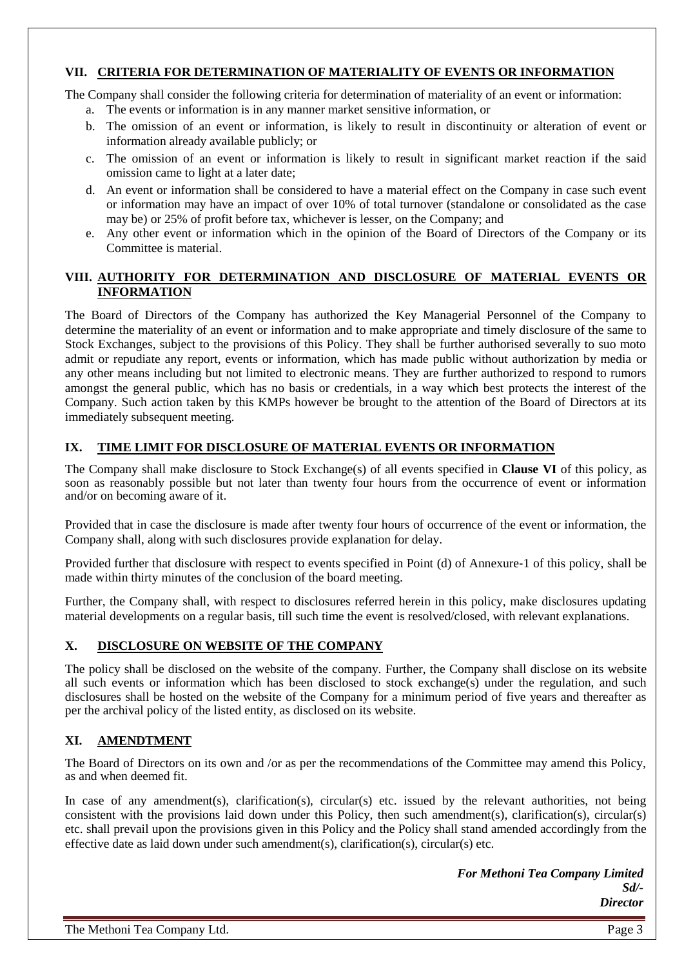## **VII. CRITERIA FOR DETERMINATION OF MATERIALITY OF EVENTS OR INFORMATION**

The Company shall consider the following criteria for determination of materiality of an event or information:

- a. The events or information is in any manner market sensitive information, or
- b. The omission of an event or information, is likely to result in discontinuity or alteration of event or information already available publicly; or
- c. The omission of an event or information is likely to result in significant market reaction if the said omission came to light at a later date;
- d. An event or information shall be considered to have a material effect on the Company in case such event or information may have an impact of over 10% of total turnover (standalone or consolidated as the case may be) or 25% of profit before tax, whichever is lesser, on the Company; and
- e. Any other event or information which in the opinion of the Board of Directors of the Company or its Committee is material.

### **VIII. AUTHORITY FOR DETERMINATION AND DISCLOSURE OF MATERIAL EVENTS OR INFORMATION**

The Board of Directors of the Company has authorized the Key Managerial Personnel of the Company to determine the materiality of an event or information and to make appropriate and timely disclosure of the same to Stock Exchanges, subject to the provisions of this Policy. They shall be further authorised severally to suo moto admit or repudiate any report, events or information, which has made public without authorization by media or any other means including but not limited to electronic means. They are further authorized to respond to rumors amongst the general public, which has no basis or credentials, in a way which best protects the interest of the Company. Such action taken by this KMPs however be brought to the attention of the Board of Directors at its immediately subsequent meeting.

## **IX. TIME LIMIT FOR DISCLOSURE OF MATERIAL EVENTS OR INFORMATION**

The Company shall make disclosure to Stock Exchange(s) of all events specified in **Clause VI** of this policy, as soon as reasonably possible but not later than twenty four hours from the occurrence of event or information and/or on becoming aware of it.

Provided that in case the disclosure is made after twenty four hours of occurrence of the event or information, the Company shall, along with such disclosures provide explanation for delay.

Provided further that disclosure with respect to events specified in Point (d) of Annexure‐1 of this policy, shall be made within thirty minutes of the conclusion of the board meeting.

Further, the Company shall, with respect to disclosures referred herein in this policy, make disclosures updating material developments on a regular basis, till such time the event is resolved/closed, with relevant explanations.

# **X. DISCLOSURE ON WEBSITE OF THE COMPANY**

The policy shall be disclosed on the website of the company. Further, the Company shall disclose on its website all such events or information which has been disclosed to stock exchange(s) under the regulation, and such disclosures shall be hosted on the website of the Company for a minimum period of five years and thereafter as per the archival policy of the listed entity, as disclosed on its website.

# **XI. AMENDTMENT**

The Board of Directors on its own and /or as per the recommendations of the Committee may amend this Policy, as and when deemed fit.

In case of any amendment(s), clarification(s), circular(s) etc. issued by the relevant authorities, not being consistent with the provisions laid down under this Policy, then such amendment(s), clarification(s), circular(s) etc. shall prevail upon the provisions given in this Policy and the Policy shall stand amended accordingly from the effective date as laid down under such amendment(s), clarification(s), circular(s) etc.

> *For Methoni Tea Company Limited Sd/- Director*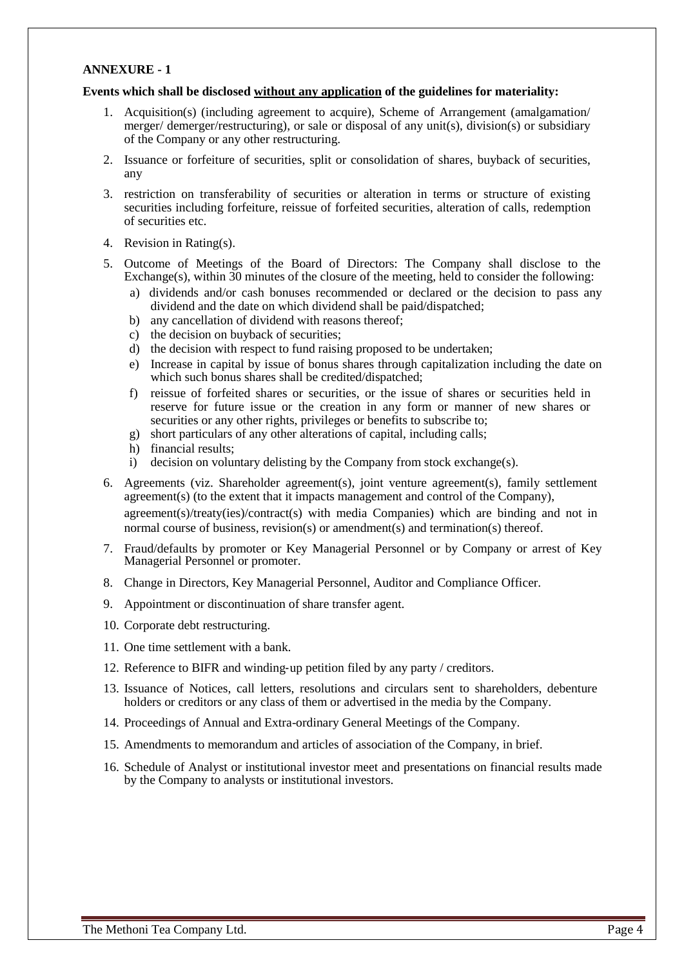### **ANNEXURE - 1**

#### **Events which shall be disclosed without any application of the guidelines for materiality:**

- 1. Acquisition(s) (including agreement to acquire), Scheme of Arrangement (amalgamation/ merger/ demerger/restructuring), or sale or disposal of any unit(s), division(s) or subsidiary of the Company or any other restructuring.
- 2. Issuance or forfeiture of securities, split or consolidation of shares, buyback of securities, any
- 3. restriction on transferability of securities or alteration in terms or structure of existing securities including forfeiture, reissue of forfeited securities, alteration of calls, redemption of securities etc.
- 4. Revision in Rating(s).
- 5. Outcome of Meetings of the Board of Directors: The Company shall disclose to the Exchange(s), within 30 minutes of the closure of the meeting, held to consider the following:
	- a) dividends and/or cash bonuses recommended or declared or the decision to pass any dividend and the date on which dividend shall be paid/dispatched;
	- b) any cancellation of dividend with reasons thereof;
	- c) the decision on buyback of securities;
	- d) the decision with respect to fund raising proposed to be undertaken;
	- e) Increase in capital by issue of bonus shares through capitalization including the date on which such bonus shares shall be credited/dispatched;
	- f) reissue of forfeited shares or securities, or the issue of shares or securities held in reserve for future issue or the creation in any form or manner of new shares or securities or any other rights, privileges or benefits to subscribe to;
	- g) short particulars of any other alterations of capital, including calls;
	- h) financial results;
	- i) decision on voluntary delisting by the Company from stock exchange(s).
- 6. Agreements (viz. Shareholder agreement(s), joint venture agreement(s), family settlement agreement(s) (to the extent that it impacts management and control of the Company), agreement(s)/treaty(ies)/contract(s) with media Companies) which are binding and not in normal course of business, revision(s) or amendment(s) and termination(s) thereof.
- 7. Fraud/defaults by promoter or Key Managerial Personnel or by Company or arrest of Key Managerial Personnel or promoter.
- 8. Change in Directors, Key Managerial Personnel, Auditor and Compliance Officer.
- 9. Appointment or discontinuation of share transfer agent.
- 10. Corporate debt restructuring.
- 11. One time settlement with a bank.
- 12. Reference to BIFR and winding-up petition filed by any party / creditors.
- 13. Issuance of Notices, call letters, resolutions and circulars sent to shareholders, debenture holders or creditors or any class of them or advertised in the media by the Company.
- 14. Proceedings of Annual and Extra-ordinary General Meetings of the Company.
- 15. Amendments to memorandum and articles of association of the Company, in brief.
- 16. Schedule of Analyst or institutional investor meet and presentations on financial results made by the Company to analysts or institutional investors.